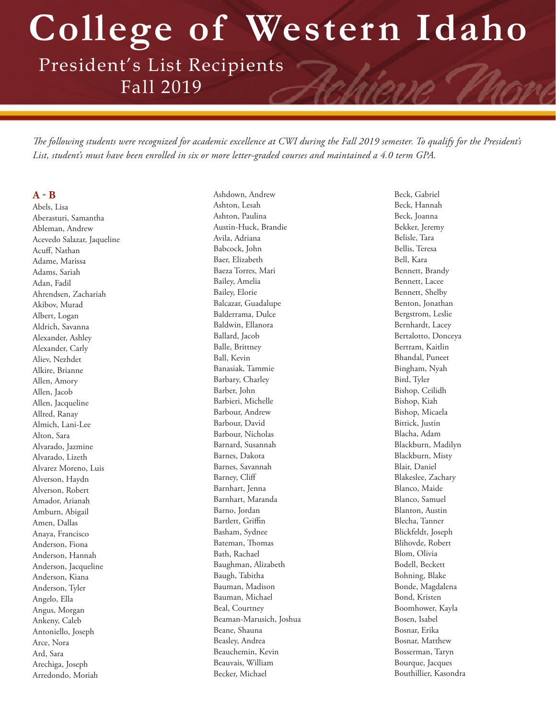**College of Western Idaho**

President's List Recipients Fall 2019

*The following students were recognized for academic excellence at CWI during the Fall 2019 semester. To qualify for the President's List, student's must have been enrolled in six or more letter-graded courses and maintained a 4.0 term GPA.* 

### **A - B**

Abels, Lisa Aberasturi, Samantha Ableman, Andrew Acevedo Salazar, Jaqueline Acuff, Nathan Adame, Marissa Adams, Sariah Adan, Fadil Ahrendsen, Zachariah Akibov, Murad Albert, Logan Aldrich, Savanna Alexander, Ashley Alexander, Carly Aliev, Nezhdet Alkire, Brianne Allen, Amory Allen, Jacob Allen, Jacqueline Allred, Ranay Almich, Lani-Lee Alton, Sara Alvarado, Jazmine Alvarado, Lizeth Alvarez Moreno, Luis Alverson, Haydn Alverson, Robert Amador, Arianah Amburn, Abigail Amen, Dallas Anaya, Francisco Anderson, Fiona Anderson, Hannah Anderson, Jacqueline Anderson, Kiana Anderson, Tyler Angelo, Ella Angus, Morgan Ankeny, Caleb Antoniello, Joseph Arce, Nora Ard, Sara Arechiga, Joseph Arredondo, Moriah

Ashdown, Andrew Ashton, Lesah Ashton, Paulina Austin-Huck, Brandie Avila, Adriana Babcock, John Baer, Elizabeth Baeza Torres, Mari Bailey, Amelia Bailey, Elorie Balcazar, Guadalupe Balderrama, Dulce Baldwin, Ellanora Ballard, Jacob Balle, Brittney Ball, Kevin Banasiak, Tammie Barbary, Charley Barber, John Barbieri, Michelle Barbour, Andrew Barbour, David Barbour, Nicholas Barnard, Susannah Barnes, Dakota Barnes, Savannah Barney, Cliff Barnhart, Jenna Barnhart, Maranda Barno, Jordan Bartlett, Griffin Basham, Sydnee Bateman, Thomas Bath, Rachael Baughman, Alizabeth Baugh, Tabitha Bauman, Madison Bauman, Michael Beal, Courtney Beaman-Marusich, Joshua Beane, Shauna Beasley, Andrea Beauchemin, Kevin Beauvais, William Becker, Michael

Beck, Gabriel Beck, Hannah Beck, Joanna Bekker, Jeremy Belisle, Tara Bellis, Teresa Bell, Kara Bennett, Brandy Bennett, Lacee Bennett, Shelby Benton, Jonathan Bergstrom, Leslie Bernhardt, Lacey Bertalotto, Donceya Bertram, Kaitlin Bhandal, Puneet Bingham, Nyah Bird, Tyler Bishop, Ceilidh Bishop, Kiah Bishop, Micaela Bittick, Justin Blacha, Adam Blackburn, Madilyn Blackburn, Misty Blair, Daniel Blakeslee, Zachary Blanco, Maide Blanco, Samuel Blanton, Austin Blecha, Tanner Blickfeldt, Joseph Blihovde, Robert Blom, Olivia Bodell, Beckett Bohning, Blake Bonde, Magdalena Bond, Kristen Boomhower, Kayla Bosen, Isabel Bosnar, Erika Bosnar, Matthew Bosserman, Taryn Bourque, Jacques Bouthillier, Kasondra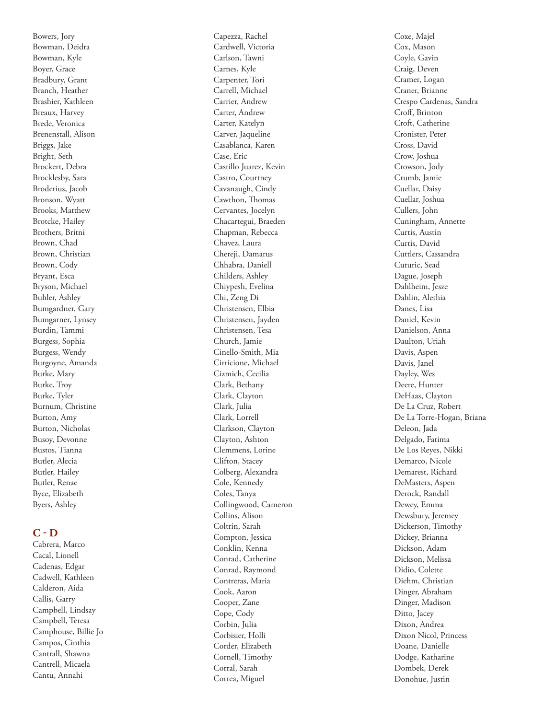Bowers, Jory Bowman, Deidra Bowman, Kyle Boyer, Grace Bradbury, Grant Branch, Heather Brashier, Kathleen Breaux, Harvey Brede, Veronica Brenenstall, Alison Briggs, Jake Bright, Seth Brockert, Debra Brocklesby, Sara Broderius, Jacob Bronson, Wyatt Brooks, Matthew Brotcke, Hailey Brothers, Britni Brown, Chad Brown, Christian Brown, Cody Bryant, Esca Bryson, Michael Buhler, Ashley Bumgardner, Gary Bumgarner, Lynsey Burdin, Tammi Burgess, Sophia Burgess, Wendy Burgoyne, Amanda Burke, Mary Burke, Troy Burke, Tyler Burnum, Christine Burton, Amy Burton, Nicholas Busoy, Devonne Bustos, Tianna Butler, Alecia Butler, Hailey Butler, Renae Byce, Elizabeth Byers, Ashley

## **C - D**

Cabrera, Marco Cacal, Lionell Cadenas, Edgar Cadwell, Kathleen Calderon, Aida Callis, Garry Campbell, Lindsay Campbell, Teresa Camphouse, Billie Jo Campos, Cinthia Cantrall, Shawna Cantrell, Micaela Cantu, Annahi

Cardwell, Victoria Carlson, Tawni Carnes, Kyle Carpenter, Tori Carrell, Michael Carrier, Andrew Carter, Andrew Carter, Katelyn Carver, Jaqueline Casablanca, Karen Case, Eric Castillo Juarez, Kevin Castro, Courtney Cavanaugh, Cindy Cawthon, Thomas Cervantes, Jocelyn Chacartegui, Braeden Chapman, Rebecca Chavez, Laura Chereji, Damarus Chhabra, Daniell Childers, Ashley Chiypesh, Evelina Chi, Zeng Di Christensen, Elbia Christensen, Jayden Christensen, Tesa Church, Jamie Cinello-Smith, Mia Cirricione, Michael Cizmich, Cecilia Clark, Bethany Clark, Clayton Clark, Julia Clark, Lorrell Clarkson, Clayton Clayton, Ashton Clemmens, Lorine Clifton, Stacey Colberg, Alexandra Cole, Kennedy Coles, Tanya Collingwood, Cameron Collins, Alison Coltrin, Sarah Compton, Jessica Conklin, Kenna Conrad, Catherine Conrad, Raymond Contreras, Maria Cook, Aaron Cooper, Zane Cope, Cody Corbin, Julia Corbisier, Holli Corder, Elizabeth Cornell, Timothy Corral, Sarah Correa, Miguel

Capezza, Rachel

Coxe, Majel Cox, Mason Coyle, Gavin Craig, Deven Cramer, Logan Craner, Brianne Crespo Cardenas, Sandra Croff, Brinton Croft, Catherine Cronister, Peter Cross, David Crow, Joshua Crowson, Jody Crumb, Jamie Cuellar, Daisy Cuellar, Joshua Cullers, John Cuningham, Annette Curtis, Austin Curtis, David Cuttlers, Cassandra Cuturic, Sead Dague, Joseph Dahlheim, Jesze Dahlin, Alethia Danes, Lisa Daniel, Kevin Danielson, Anna Daulton, Uriah Davis, Aspen Davis, Janel Dayley, Wes Deere, Hunter DeHaas, Clayton De La Cruz, Robert De La Torre-Hogan, Briana Deleon, Jada Delgado, Fatima De Los Reyes, Nikki Demarco, Nicole Demarest, Richard DeMasters, Aspen Derock, Randall Dewey, Emma Dewsbury, Jeremey Dickerson, Timothy Dickey, Brianna Dickson, Adam Dickson, Melissa Didio, Colette Diehm, Christian Dinger, Abraham Dinger, Madison Ditto, Jacey Dixon, Andrea Dixon Nicol, Princess Doane, Danielle Dodge, Katharine Dombek, Derek Donohue, Justin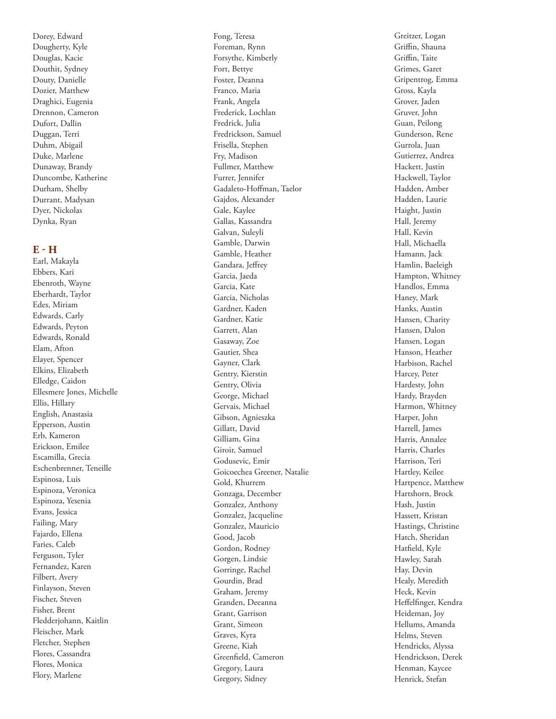Dorey, Edward Dougherty, Kyle Douglas, Kacie Douthit, Sydney Douty, Danielle Dozier, Matthew Draghici, Eugenia Drennon, Cameron Dufort, Dallin Duggan, Terri Duhm, Abigail Duke, Marlene Dunaway, Brandy Duncombe, Katherine Durham, Shelby Durrant, Madysan Dyer, Nickolas Dynka, Ryan

### **E - H**

Earl, Makayla Ebbers, Kari Ebenroth, Wayne Eberhardt, Taylor Edes, Miriam Edwards, Carly Edwards, Peyton Edwards, Ronald Elam, Afton Elayer, Spencer Elkins, Elizabeth Elledge, Caidon Ellesmere Jones, Michelle Ellis, Hillary English, Anastasia Epperson, Austin Erb, Kameron Erickson, Emilee Escamilla, Grecia Eschenbrenner, Teneille Espinosa, Luis Espinoza, Veronica Espinoza, Yesenia Evans, Jessica Failing, Mary Fajardo, Ellena Faries, Caleb Ferguson, Tyler Fernandez, Karen Filbert, Avery Finlayson, Steven Fischer, Steven Fisher, Brent Fledderjohann, Kaitlin Fleischer, Mark Fletcher, Stephen Flores, Cassandra Flores, Monica Flory, Marlene

Fong, Teresa Foreman, Rynn Forsythe, Kimberly Fort, Bettye Foster, Deanna Franco, Maria Frank, Angela Frederick, Lochlan Fredrick, Julia Fredrickson, Samuel Frisella, Stephen Fry, Madison Fullmer, Matthew Furrer, Jennifer Gadaleto-Hoffman, Taelor Gajdos, Alexander Gale, Kaylee Gallas, Kassandra Galvan, Suleyli Gamble, Darwin Gamble, Heather Gandara, Jeffrey Garcia, Jaeda Garcia, Kate Garcia, Nicholas Gardner, Kaden Gardner, Katie Garrett, Alan Gasaway, Zoe Gautier, Shea Gayner, Clark Gentry, Kierstin Gentry, Olivia George, Michael Gervais, Michael Gibson, Agnieszka Gillatt, David Gilliam, Gina Giroir, Samuel Godusevic, Emir Goicoechea Greener, Natalie Gold, Khurrem Gonzaga, December Gonzalez, Anthony Gonzalez, Jacqueline Gonzalez, Mauricio Good, Jacob Gordon, Rodney Gorgen, Lindsie Gorringe, Rachel Gourdin, Brad Graham, Jeremy Granden, Deeanna Grant, Garrison Grant, Simeon Graves, Kyra Greene, Kiah Greenfield, Cameron Gregory, Laura Gregory, Sidney

Greitzer, Logan Griffin, Shauna Griffin, Taite Grimes, Garet Gripentrog, Emma Gross, Kayla Grover, Jaden Gruver, John Guan, Peilong Gunderson, Rene Gurrola, Juan Gutierrez, Andrea Hackett, Justin Hackwell, Taylor Hadden, Amber Hadden, Laurie Haight, Justin Hall, Jeremy Hall, Kevin Hall, Michaella Hamann, Jack Hamlin, Baeleigh Hampton, Whitney Handlos, Emma Haney, Mark Hanks, Austin Hansen, Charity Hansen, Dalon Hansen, Logan Hanson, Heather Harbison, Rachel Harcey, Peter Hardesty, John Hardy, Brayden Harmon, Whitney Harper, John Harrell, James Harris, Annalee Harris, Charles Harrison, Teri Hartley, Keilee Hartpence, Matthew Hartshorn, Brock Hash, Justin Hassett, Kristan Hastings, Christine Hatch, Sheridan Hatfield, Kyle Hawley, Sarah Hay, Devin Healy, Meredith Heck, Kevin Heffelfinger, Kendra Heideman, Joy Hellums, Amanda Helms, Steven Hendricks, Alyssa Hendrickson, Derek Henman, Kaycee Henrick, Stefan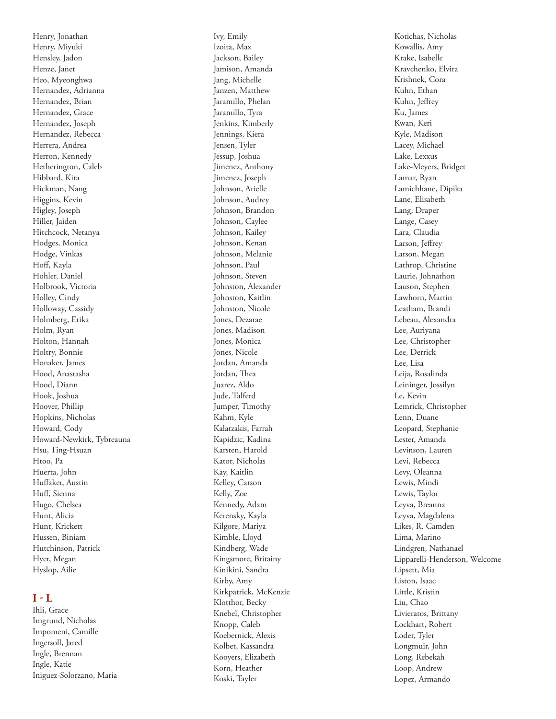Henry, Jonathan Henry, Miyuki Hensley, Jadon Henze, Janet Heo, Myeonghwa Hernandez, Adrianna Hernandez, Brian Hernandez, Grace Hernandez, Joseph Hernandez, Rebecca Herrera, Andrea Herron, Kennedy Hetherington, Caleb Hibbard, Kira Hickman, Nang Higgins, Kevin Higley, Joseph Hiller, Jaiden Hitchcock, Netanya Hodges, Monica Hodge, Vinkas Hoff, Kayla Hohler, Daniel Holbrook, Victoria Holley, Cindy Holloway, Cassidy Holmberg, Erika Holm, Ryan Holton, Hannah Holtry, Bonnie Honaker, James Hood, Anastasha Hood, Diann Hook, Joshua Hoover, Phillip Hopkins, Nicholas Howard, Cody Howard-Newkirk, Tybreauna Hsu, Ting-Hsuan Htoo, Pa Huerta, John Huffaker, Austin Huff, Sienna Hugo, Chelsea Hunt, Alicia Hunt, Krickett Hussen, Biniam Hutchinson, Patrick Hyer, Megan Hyslop, Ailie

# **I - L**

Ihli, Grace Imgrund, Nicholas Impomeni, Camille Ingersoll, Jared Ingle, Brennan Ingle, Katie Iniguez-Solorzano, Maria Ivy, Emily Izoita, Max Jackson, Bailey Jamison, Amanda Jang, Michelle Janzen, Matthew Jaramillo, Phelan Jaramillo, Tyra Jenkins, Kimberly Jennings, Kiera Jensen, Tyler Jessup, Joshua Jimenez, Anthony Jimenez, Joseph Johnson, Arielle Johnson, Audrey Johnson, Brandon Johnson, Caylee Johnson, Kailey Johnson, Kenan Johnson, Melanie Johnson, Paul Johnson, Steven Johnston, Alexander Johnston, Kaitlin Johnston, Nicole Jones, Dezarae Jones, Madison Jones, Monica Jones, Nicole Jordan, Amanda Jordan, Thea Juarez, Aldo Jude, Talferd Jumper, Timothy Kahm, Kyle Kalatzakis, Farrah Kapidzic, Kadina Karsten, Harold Kator, Nicholas Kay, Kaitlin Kelley, Carson Kelly, Zoe Kennedy, Adam Kerensky, Kayla Kilgore, Mariya Kimble, Lloyd Kindberg, Wade Kingsmore, Britainy Kinikini, Sandra Kirby, Amy Kirkpatrick, McKenzie Klotthor, Becky Knebel, Christopher Knopp, Caleb Koebernick, Alexis Kolbet, Kassandra Kooyers, Elizabeth Korn, Heather Koski, Tayler

Kotichas, Nicholas Kowallis, Amy Krake, Isabelle Kravchenko, Elvira Krishnek, Cora Kuhn, Ethan Kuhn, Jeffrey Ku, James Kwan, Keri Kyle, Madison Lacey, Michael Lake, Lexxus Lake-Meyers, Bridget Lamar, Ryan Lamichhane, Dipika Lane, Elisabeth Lang, Draper Lange, Casey Lara, Claudia Larson, Jeffrey Larson, Megan Lathrop, Christine Laurie, Johnathon Lauson, Stephen Lawhorn, Martin Leatham, Brandi Lebeau, Alexandra Lee, Auriyana Lee, Christopher Lee, Derrick Lee, Lisa Leija, Rosalinda Leininger, Jossilyn Le, Kevin Lemrick, Christopher Lenn, Duane Leopard, Stephanie Lester, Amanda Levinson, Lauren Levi, Rebecca Levy, Oleanna Lewis, Mindi Lewis, Taylor Leyva, Breanna Leyva, Magdalena Likes, R. Camden Lima, Marino Lindgren, Nathanael Lipparelli-Henderson, Welcome Lipsett, Mia Liston, Isaac Little, Kristin Liu, Chao Livieratos, Brittany Lockhart, Robert Loder, Tyler Longmuir, John Long, Rebekah Loop, Andrew Lopez, Armando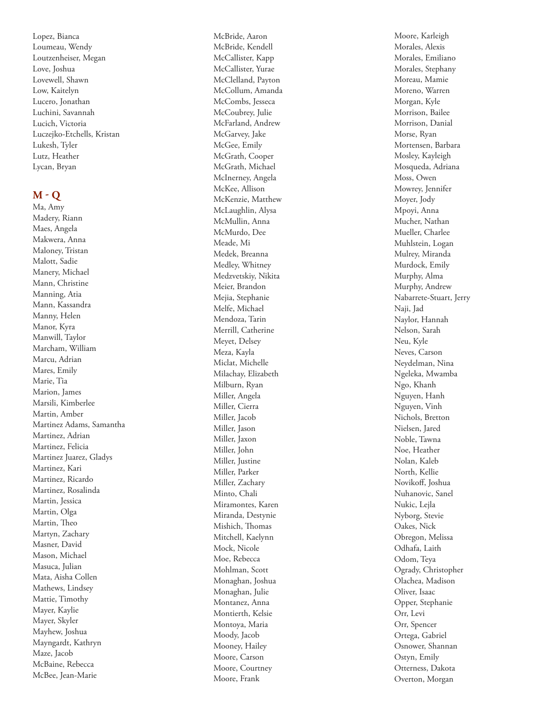Lopez, Bianca Loumeau, Wendy Loutzenheiser, Megan Love, Joshua Lovewell, Shawn Low, Kaitelyn Lucero, Jonathan Luchini, Savannah Lucich, Victoria Luczejko-Etchells, Kristan Lukesh, Tyler Lutz, Heather Lycan, Bryan

## **M - Q**

Ma, Amy Madery, Riann Maes, Angela Makwera, Anna Maloney, Tristan Malott, Sadie Manery, Michael Mann, Christine Manning, Atia Mann, Kassandra Manny, Helen Manor, Kyra Manwill, Taylor Marcham, William Marcu, Adrian Mares, Emily Marie, Tia Marion, James Marsili, Kimberlee Martin, Amber Martinez Adams, Samantha Martinez, Adrian Martinez, Felicia Martinez Juarez, Gladys Martinez, Kari Martinez, Ricardo Martinez, Rosalinda Martin, Jessica Martin, Olga Martin, Theo Martyn, Zachary Masner, David Mason, Michael Masuca, Julian Mata, Aisha Collen Mathews, Lindsey Mattie, Timothy Mayer, Kaylie Mayer, Skyler Mayhew, Joshua Mayngardt, Kathryn Maze, Jacob McBaine, Rebecca McBee, Jean-Marie

McBride, Aaron McBride, Kendell McCallister, Kapp McCallister, Yurae McClelland, Payton McCollum, Amanda McCombs, Jesseca McCoubrey, Julie McFarland, Andrew McGarvey, Jake McGee, Emily McGrath, Cooper McGrath, Michael McInerney, Angela McKee, Allison McKenzie, Matthew McLaughlin, Alysa McMullin, Anna McMurdo, Dee Meade, Mi Medek, Breanna Medley, Whitney Medzvetskiy, Nikita Meier, Brandon Mejia, Stephanie Melfe, Michael Mendoza, Tarin Merrill, Catherine Meyet, Delsey Meza, Kayla Miclat, Michelle Milachay, Elizabeth Milburn, Ryan Miller, Angela Miller, Cierra Miller, Jacob Miller, Jason Miller, Jaxon Miller, John Miller, Justine Miller, Parker Miller, Zachary Minto, Chali Miramontes, Karen Miranda, Destynie Mishich, Thomas Mitchell, Kaelynn Mock, Nicole Moe, Rebecca Mohlman, Scott Monaghan, Joshua Monaghan, Julie Montanez, Anna Montierth, Kelsie Montoya, Maria Moody, Jacob Mooney, Hailey Moore, Carson Moore, Courtney Moore, Frank

Moore, Karleigh Morales, Alexis Morales, Emiliano Morales, Stephany Moreau, Mamie Moreno, Warren Morgan, Kyle Morrison, Bailee Morrison, Danial Morse, Ryan Mortensen, Barbara Mosley, Kayleigh Mosqueda, Adriana Moss, Owen Mowrey, Jennifer Moyer, Jody Mpoyi, Anna Mucher, Nathan Mueller, Charlee Muhlstein, Logan Mulrey, Miranda Murdock, Emily Murphy, Alma Murphy, Andrew Nabarrete-Stuart, Jerry Naji, Jad Naylor, Hannah Nelson, Sarah Neu, Kyle Neves, Carson Neydelman, Nina Ngeleka, Mwamba Ngo, Khanh Nguyen, Hanh Nguyen, Vinh Nichols, Bretton Nielsen, Jared Noble, Tawna Noe, Heather Nolan, Kaleb North, Kellie Novikoff, Joshua Nuhanovic, Sanel Nukic, Lejla Nyborg, Stevie Oakes, Nick Obregon, Melissa Odhafa, Laith Odom, Teya Ogrady, Christopher Olachea, Madison Oliver, Isaac Opper, Stephanie Orr, Levi Orr, Spencer Ortega, Gabriel Osnower, Shannan Ostyn, Emily Otterness, Dakota Overton, Morgan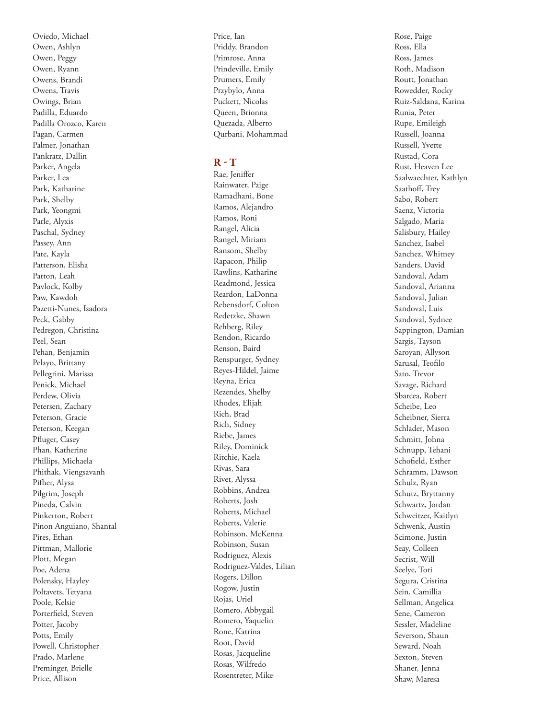Oviedo, Michael Owen, Ashlyn Owen, Peggy Owen, Ryann Owens, Brandi Owens, Travis Owings, Brian Padilla, Eduardo Padilla Orozco, Karen Pagan, Carmen Palmer, Jonathan Pankratz, Dallin Parker, Angela Parker, Lea Park, Katharine Park, Shelby Park, Yeongmi Parle, Alyxis Paschal, Sydney Passey, Ann Pate, Kayla Patterson, Elisha Patton, Leah Pavlock, Kolby Paw, Kawdoh Pazetti-Nunes, Isadora Peck, Gabby Pedregon, Christina Peel, Sean Pehan, Benjamin Pelayo, Brittany Pellegrini, Marissa Penick, Michael Perdew, Olivia Petersen, Zachary Peterson, Gracie Peterson, Keegan Pfluger, Casey Phan, Katherine Phillips, Michaela Phithak, Viengsavanh Pifher, Alysa Pilgrim, Joseph Pineda, Calvin Pinkerton, Robert Pinon Anguiano, Shantal Pires, Ethan Pittman, Mallorie Plott, Megan Poe, Adena Polensky, Hayley Poltavets, Tetyana Poole, Kelsie Porterfield, Steven Potter, Jacoby Potts, Emily Powell, Christopher Prado, Marlene Preminger, Brielle Price, Allison

Price, Ian Priddy, Brandon Primrose, Anna Prindeville, Emily Prumers, Emily Przybylo, Anna Puckett, Nicolas Queen, Brionna Quezada, Alberto Qurbani, Mohammad

## **R - T**

Rae, Jeniffer Rainwater, Paige Ramadhani, Bone Ramos, Alejandro Ramos, Roni Rangel, Alicia Rangel, Miriam Ransom, Shelby Rapacon, Philip Rawlins, Katharine Readmond, Jessica Reardon, LaDonna Rebensdorf, Colton Redetzke, Shawn Rehberg, Riley Rendon, Ricardo Renson, Baird Renspurger, Sydney Reyes-Hildel, Jaime Reyna, Erica Rezendes, Shelby Rhodes, Elijah Rich, Brad Rich, Sidney Riebe, James Riley, Dominick Ritchie, Kaela Rivas, Sara Rivet, Alyssa Robbins, Andrea Roberts, Josh Roberts, Michael Roberts, Valerie Robinson, McKenna Robinson, Susan Rodriguez, Alexis Rodriguez-Valdes, Lilian Rogers, Dillon Rogow, Justin Rojas, Uriel Romero, Abbygail Romero, Yaquelin Rone, Katrina Root, David Rosas, Jacqueline Rosas, Wilfredo Rosentreter, Mike

Rose, Paige Ross, Ella Ross, James Roth, Madison Routt, Jonathan Rowedder, Rocky Ruiz-Saldana, Karina Runia, Peter Rupe, Emileigh Russell, Joanna Russell, Yvette Rustad, Cora Rust, Heaven Lee Saalwaechter, Kathlyn Saathoff, Trey Sabo, Robert Saenz, Victoria Salgado, Maria Salisbury, Hailey Sanchez, Isabel Sanchez, Whitney Sanders, David Sandoval, Adam Sandoval, Arianna Sandoval, Julian Sandoval, Luis Sandoval, Sydnee Sappington, Damian Sargis, Tayson Saroyan, Allyson Sarusal, Teofilo Sato, Trevor Savage, Richard Sbarcea, Robert Scheibe, Leo Scheibner, Sierra Schlader, Mason Schmitt, Johna Schnupp, Tehani Schofield, Esther Schramm, Dawson Schulz, Ryan Schutz, Bryttanny Schwartz, Jordan Schweitzer, Kaitlyn Schwenk, Austin Scimone, Justin Seay, Colleen Secrist, Will Seelye, Tori Segura, Cristina Sein, Camillia Sellman, Angelica Sene, Cameron Sessler, Madeline Severson, Shaun Seward, Noah Sexton, Steven Shaner, Jenna Shaw, Maresa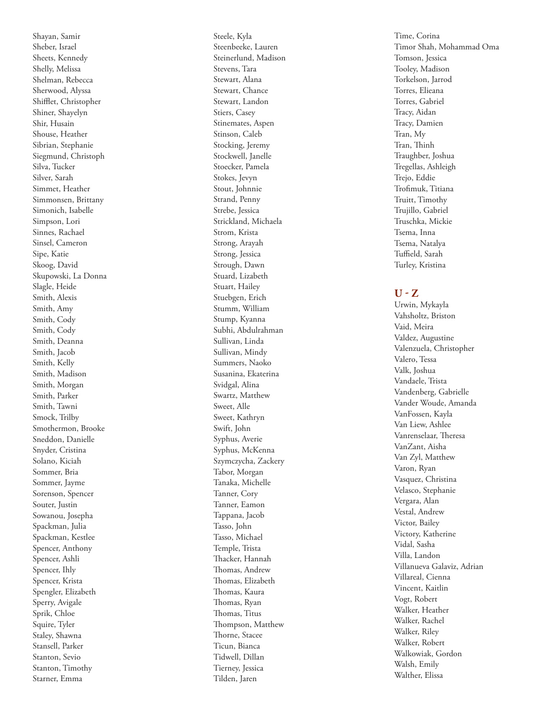Shayan, Samir Sheber, Israel Sheets, Kennedy Shelly, Melissa Shelman, Rebecca Sherwood, Alyssa Shifflet, Christopher Shiner, Shayelyn Shir, Husain Shouse, Heather Sibrian, Stephanie Siegmund, Christoph Silva, Tucker Silver, Sarah Simmet, Heather Simmonsen, Brittany Simonich, Isabelle Simpson, Lori Sinnes, Rachael Sinsel, Cameron Sipe, Katie Skoog, David Skupowski, La Donna Slagle, Heide Smith, Alexis Smith, Amy Smith, Cody Smith, Cody Smith, Deanna Smith, Jacob Smith, Kelly Smith, Madison Smith, Morgan Smith, Parker Smith, Tawni Smock, Trilby Smothermon, Brooke Sneddon, Danielle Snyder, Cristina Solano, Kiciah Sommer, Bria Sommer, Jayme Sorenson, Spencer Souter, Justin Sowanou, Josepha Spackman, Julia Spackman, Kestlee Spencer, Anthony Spencer, Ashli Spencer, Ihly Spencer, Krista Spengler, Elizabeth Sperry, Avigale Sprik, Chloe Squire, Tyler Staley, Shawna Stansell, Parker Stanton, Sevio Stanton, Timothy Starner, Emma

Steele, Kyla Steenbeeke, Lauren Steinerlund, Madison Stevens, Tara Stewart, Alana Stewart, Chance Stewart, Landon Stiers, Casey Stinemates, Aspen Stinson, Caleb Stocking, Jeremy Stockwell, Janelle Stoecker, Pamela Stokes, Jevyn Stout, Johnnie Strand, Penny Strebe, Jessica Strickland, Michaela Strom, Krista Strong, Arayah Strong, Jessica Strough, Dawn Stuard, Lizabeth Stuart, Hailey Stuebgen, Erich Stumm, William Stump, Kyanna Subhi, Abdulrahman Sullivan, Linda Sullivan, Mindy Summers, Naoko Susanina, Ekaterina Svidgal, Alina Swartz, Matthew Sweet, Alle Sweet, Kathryn Swift, John Syphus, Averie Syphus, McKenna Szymczycha, Zackery Tabor, Morgan Tanaka, Michelle Tanner, Cory Tanner, Eamon Tappana, Jacob Tasso, John Tasso, Michael Temple, Trista Thacker, Hannah Thomas, Andrew Thomas, Elizabeth Thomas, Kaura Thomas, Ryan Thomas, Titus Thompson, Matthew Thorne, Stacee Ticun, Bianca Tidwell, Dillan Tierney, Jessica Tilden, Jaren

Time, Corina Timor Shah, Mohammad Oma Tomson, Jessica Tooley, Madison Torkelson, Jarrod Torres, Elieana Torres, Gabriel Tracy, Aidan Tracy, Damien Tran, My Tran, Thinh Traughber, Joshua Tregellas, Ashleigh Trejo, Eddie Trofimuk, Titiana Truitt, Timothy Trujillo, Gabriel Truschka, Mickie Tsema, Inna Tsema, Natalya Tuffield, Sarah Turley, Kristina

### **U - Z**

Urwin, Mykayla Vahsholtz, Briston Vaid, Meira Valdez, Augustine Valenzuela, Christopher Valero, Tessa Valk, Joshua Vandaele, Trista Vandenberg, Gabrielle Vander Woude, Amanda VanFossen, Kayla Van Liew, Ashlee Vanrenselaar, Theresa VanZant, Aisha Van Zyl, Matthew Varon, Ryan Vasquez, Christina Velasco, Stephanie Vergara, Alan Vestal, Andrew Victor, Bailey Victory, Katherine Vidal, Sasha Villa, Landon Villanueva Galaviz, Adrian Villareal, Cienna Vincent, Kaitlin Vogt, Robert Walker, Heather Walker, Rachel Walker, Riley Walker, Robert Walkowiak, Gordon Walsh, Emily Walther, Elissa